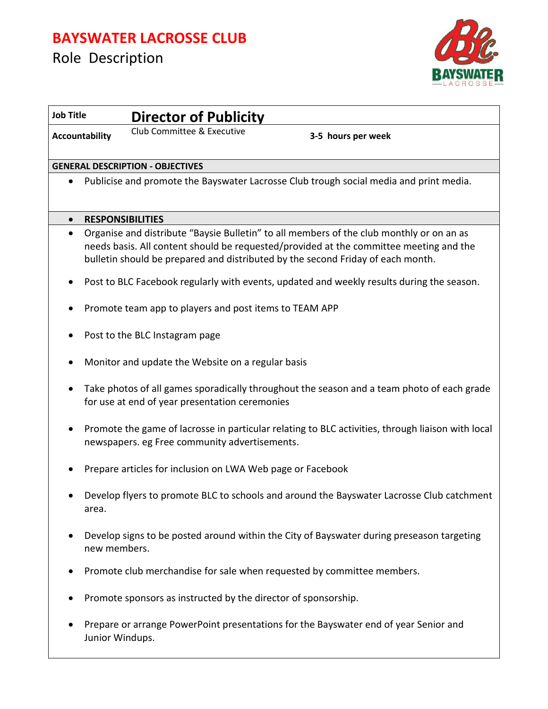## **BAYSWATER LACROSSE CLUB**



| <b>Job Title</b>      |                                                                                                                                                    | <b>Director of Publicity</b>                                           |                                                                                                                                                                                                                                                                       |  |
|-----------------------|----------------------------------------------------------------------------------------------------------------------------------------------------|------------------------------------------------------------------------|-----------------------------------------------------------------------------------------------------------------------------------------------------------------------------------------------------------------------------------------------------------------------|--|
| <b>Accountability</b> |                                                                                                                                                    | Club Committee & Executive                                             | 3-5 hours per week                                                                                                                                                                                                                                                    |  |
|                       |                                                                                                                                                    | <b>GENERAL DESCRIPTION - OBJECTIVES</b>                                |                                                                                                                                                                                                                                                                       |  |
| ٠                     |                                                                                                                                                    |                                                                        | Publicise and promote the Bayswater Lacrosse Club trough social media and print media.                                                                                                                                                                                |  |
| $\bullet$             |                                                                                                                                                    | <b>RESPONSIBILITIES</b>                                                |                                                                                                                                                                                                                                                                       |  |
| $\bullet$             |                                                                                                                                                    |                                                                        | Organise and distribute "Baysie Bulletin" to all members of the club monthly or on an as<br>needs basis. All content should be requested/provided at the committee meeting and the<br>bulletin should be prepared and distributed by the second Friday of each month. |  |
|                       |                                                                                                                                                    |                                                                        | Post to BLC Facebook regularly with events, updated and weekly results during the season.                                                                                                                                                                             |  |
|                       | Promote team app to players and post items to TEAM APP                                                                                             |                                                                        |                                                                                                                                                                                                                                                                       |  |
|                       | Post to the BLC Instagram page                                                                                                                     |                                                                        |                                                                                                                                                                                                                                                                       |  |
|                       | Monitor and update the Website on a regular basis                                                                                                  |                                                                        |                                                                                                                                                                                                                                                                       |  |
|                       | Take photos of all games sporadically throughout the season and a team photo of each grade<br>for use at end of year presentation ceremonies       |                                                                        |                                                                                                                                                                                                                                                                       |  |
|                       | Promote the game of lacrosse in particular relating to BLC activities, through liaison with local<br>newspapers. eg Free community advertisements. |                                                                        |                                                                                                                                                                                                                                                                       |  |
|                       |                                                                                                                                                    | Prepare articles for inclusion on LWA Web page or Facebook             |                                                                                                                                                                                                                                                                       |  |
|                       | Develop flyers to promote BLC to schools and around the Bayswater Lacrosse Club catchment<br>area.                                                 |                                                                        |                                                                                                                                                                                                                                                                       |  |
|                       | Develop signs to be posted around within the City of Bayswater during preseason targeting<br>new members.                                          |                                                                        |                                                                                                                                                                                                                                                                       |  |
|                       |                                                                                                                                                    | Promote club merchandise for sale when requested by committee members. |                                                                                                                                                                                                                                                                       |  |
|                       | Promote sponsors as instructed by the director of sponsorship.                                                                                     |                                                                        |                                                                                                                                                                                                                                                                       |  |
|                       | Junior Windups.                                                                                                                                    |                                                                        | Prepare or arrange PowerPoint presentations for the Bayswater end of year Senior and                                                                                                                                                                                  |  |